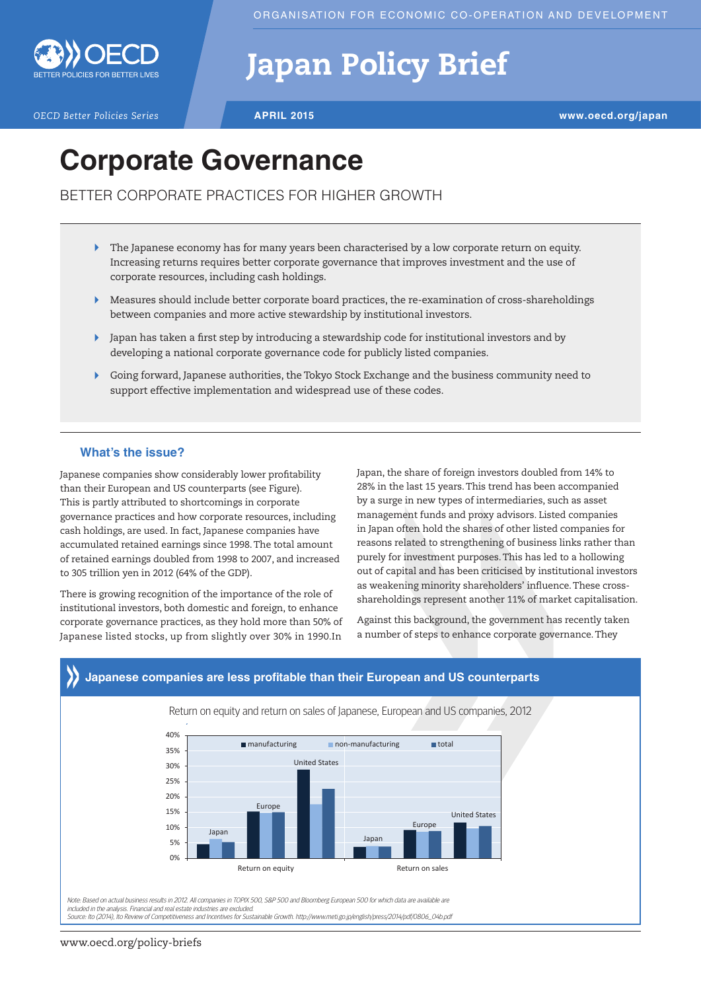

# Japan Policy Brief

*OECD Better Policies Series* **APRIL 2015 www.oecd.org/japan**

# **Corporate Governance**

BETTER CORPORATE PRACTICES FOR HIGHER GROWTH

- The Japanese economy has for many years been characterised by a low corporate return on equity.  $\blacktriangleright$ Increasing returns requires better corporate governance that improves investment and the use of corporate resources, including cash holdings.
- Measures should include better corporate board practices, the re-examination of cross-shareholdings between companies and more active stewardship by institutional investors.
- Japan has taken a first step by introducing a stewardship code for institutional investors and by developing a national corporate governance code for publicly listed companies.
- Going forward, Japanese authorities, the Tokyo Stock Exchange and the business community need to support effective implementation and widespread use of these codes.

### **What's the issue?**

Japanese companies show considerably lower profitability than their European and US counterparts (see Figure). This is partly attributed to shortcomings in corporate governance practices and how corporate resources, including cash holdings, are used. In fact, Japanese companies have accumulated retained earnings since 1998. The total amount of retained earnings doubled from 1998 to 2007, and increased to 305 trillion yen in 2012 (64% of the GDP).

There is growing recognition of the importance of the role of institutional investors, both domestic and foreign, to enhance corporate governance practices, as they hold more than 50% of Japanese listed stocks, up from slightly over 30% in 1990.In Japan, the share of foreign investors doubled from 14% to 28% in the last 15 years. This trend has been accompanied by a surge in new types of intermediaries, such as asset management funds and proxy advisors. Listed companies in Japan often hold the shares of other listed companies for reasons related to strengthening of business links rather than purely for investment purposes. This has led to a hollowing out of capital and has been criticised by institutional investors as weakening minority shareholders' influence. These crossshareholdings represent another 11% of market capitalisation.

Against this background, the government has recently taken a number of steps to enhance corporate governance. They



## www.oecd.org/policy-briefs